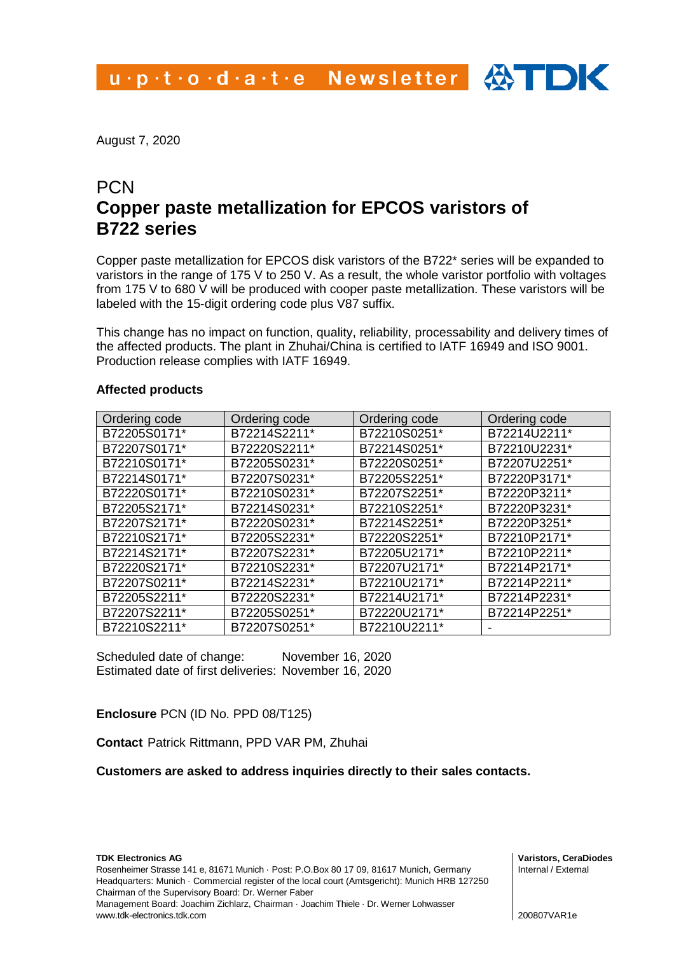August 7, 2020

# **PCN Copper paste metallization for EPCOS varistors of B722 series**

Copper paste metallization for EPCOS disk varistors of the B722\* series will be expanded to varistors in the range of 175 V to 250 V. As a result, the whole varistor portfolio with voltages from 175 V to 680 V will be produced with cooper paste metallization. These varistors will be labeled with the 15-digit ordering code plus V87 suffix.

This change has no impact on function, quality, reliability, processability and delivery times of the affected products. The plant in Zhuhai/China is certified to IATF 16949 and ISO 9001. Production release complies with IATF 16949.

### **Affected products**

| Ordering code | Ordering code | Ordering code | Ordering code |
|---------------|---------------|---------------|---------------|
| B72205S0171*  | B72214S2211*  | B72210S0251*  | B72214U2211*  |
| B72207S0171*  | B72220S2211*  | B72214S0251*  | B72210U2231*  |
| B72210S0171*  | B72205S0231*  | B72220S0251*  | B72207U2251*  |
| B72214S0171*  | B72207S0231*  | B72205S2251*  | B72220P3171*  |
| B72220S0171*  | B72210S0231*  | B72207S2251*  | B72220P3211*  |
| B72205S2171*  | B72214S0231*  | B72210S2251*  | B72220P3231*  |
| B72207S2171*  | B72220S0231*  | B72214S2251*  | B72220P3251*  |
| B72210S2171*  | B72205S2231*  | B72220S2251*  | B72210P2171*  |
| B72214S2171*  | B72207S2231*  | B72205U2171*  | B72210P2211*  |
| B72220S2171*  | B72210S2231*  | B72207U2171*  | B72214P2171*  |
| B72207S0211*  | B72214S2231*  | B72210U2171*  | B72214P2211*  |
| B72205S2211*  | B72220S2231*  | B72214U2171*  | B72214P2231*  |
| B72207S2211*  | B72205S0251*  | B72220U2171*  | B72214P2251*  |
| B72210S2211*  | B72207S0251*  | B72210U2211*  | ۰             |

Scheduled date of change: November 16, 2020 Estimated date of first deliveries: November 16, 2020

## **Enclosure** PCN (ID No. PPD 08/T125)

**Contact** Patrick Rittmann, PPD VAR PM, Zhuhai

### **Customers are asked to address inquiries directly to their sales contacts.**

**Varistors, CeraDiodes** Internal / External